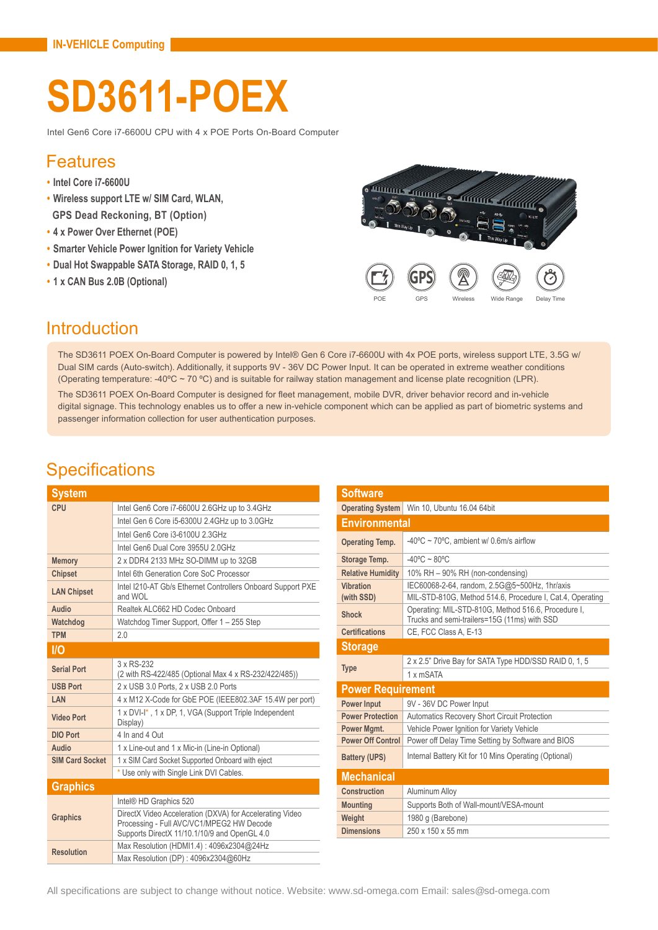# **SD3611-POEX**

Intel Gen6 Core i7-6600U CPU with 4 x POE Ports On-Board Computer

#### Features

- **• Intel Core i7-6600U**
- **• Wireless support LTE w/ SIM Card, WLAN, GPS Dead Reckoning, BT (Option)**
- **• 4 x Power Over Ethernet (POE)**
- **• Smarter Vehicle Power Ignition for Variety Vehicle**
- **• Dual Hot Swappable SATA Storage, RAID 0, 1, 5**
- **• 1 x CAN Bus 2.0B (Optional)**



#### **Introduction**

The SD3611 POEX On-Board Computer is powered by Intel® Gen 6 Core i7-6600U with 4x POE ports, wireless support LTE, 3.5G w/ Dual SIM cards (Auto-switch). Additionally, it supports 9V - 36V DC Power Input. It can be operated in extreme weather conditions (Operating temperature: -40ºC ~ 70 ºC) and is suitable for railway station management and license plate recognition (LPR).

The SD3611 POEX On-Board Computer is designed for fleet management, mobile DVR, driver behavior record and in-vehicle digital signage. This technology enables us to offer a new in-vehicle component which can be applied as part of biometric systems and passenger information collection for user authentication purposes.

#### **Specifications**

| <b>System</b>          |                                                                                                                                                       |  |
|------------------------|-------------------------------------------------------------------------------------------------------------------------------------------------------|--|
| CPU                    | Intel Gen6 Core i7-6600U 2.6GHz up to 3.4GHz                                                                                                          |  |
|                        | Intel Gen 6 Core i5-6300U 2.4GHz up to 3.0GHz                                                                                                         |  |
|                        | Intel Gen6 Core i3-6100U 2.3GHz                                                                                                                       |  |
|                        | Intel Gen6 Dual Core 3955U 2.0GHz                                                                                                                     |  |
| <b>Memory</b>          | 2 x DDR4 2133 MHz SO-DIMM up to 32GB                                                                                                                  |  |
| <b>Chipset</b>         | Intel 6th Generation Core SoC Processor                                                                                                               |  |
| <b>LAN Chipset</b>     | Intel I210-AT Gb/s Ethernet Controllers Onboard Support PXE<br>and WOL                                                                                |  |
| Audio                  | Realtek ALC662 HD Codec Onboard                                                                                                                       |  |
| Watchdog               | Watchdog Timer Support, Offer 1 - 255 Step                                                                                                            |  |
| <b>TPM</b>             | 2.0                                                                                                                                                   |  |
| I/O                    |                                                                                                                                                       |  |
| <b>Serial Port</b>     | 3 x RS-232<br>(2 with RS-422/485 (Optional Max 4 x RS-232/422/485))                                                                                   |  |
| <b>USB Port</b>        | 2 x USB 3.0 Ports, 2 x USB 2.0 Ports                                                                                                                  |  |
| LAN                    | 4 x M12 X-Code for GbE POE (IEEE802.3AF 15.4W per port)                                                                                               |  |
| <b>Video Port</b>      | 1 x DVI-I*, 1 x DP, 1, VGA (Support Triple Independent<br>Display)                                                                                    |  |
| <b>DIO Port</b>        | 4 In and 4 Out                                                                                                                                        |  |
| Audio                  | 1 x Line-out and 1 x Mic-in (Line-in Optional)                                                                                                        |  |
| <b>SIM Card Socket</b> | 1 x SIM Card Socket Supported Onboard with eject                                                                                                      |  |
|                        | * Use only with Single Link DVI Cables.                                                                                                               |  |
| <b>Graphics</b>        |                                                                                                                                                       |  |
|                        | Intel <sup>®</sup> HD Graphics 520                                                                                                                    |  |
| <b>Graphics</b>        | DirectX Video Acceleration (DXVA) for Accelerating Video<br>Processing - Full AVC/VC1/MPEG2 HW Decode<br>Supports DirectX 11/10.1/10/9 and OpenGL 4.0 |  |
|                        | Max Resolution (HDMI1.4): 4096x2304@24Hz                                                                                                              |  |
| <b>Resolution</b>      | Max Resolution (DP): 4096x2304@60Hz                                                                                                                   |  |

| <b>Software</b>          |                                                                                                     |  |
|--------------------------|-----------------------------------------------------------------------------------------------------|--|
| <b>Operating System</b>  | Win 10, Ubuntu 16.04 64bit                                                                          |  |
| <b>Environmental</b>     |                                                                                                     |  |
| <b>Operating Temp.</b>   | -40 $\degree$ C ~ 70 $\degree$ C, ambient w/ 0.6m/s airflow                                         |  |
| Storage Temp.            | $-40^{\circ}$ C ~ 80 $^{\circ}$ C                                                                   |  |
| <b>Relative Humidity</b> | 10% RH - 90% RH (non-condensing)                                                                    |  |
| Vibration                | IEC60068-2-64, random, 2.5G@5~500Hz, 1hr/axis                                                       |  |
| (with SSD)               | MIL-STD-810G, Method 514.6, Procedure I, Cat.4, Operating                                           |  |
| <b>Shock</b>             | Operating: MIL-STD-810G, Method 516.6, Procedure I,<br>Trucks and semi-trailers=15G (11ms) with SSD |  |
| <b>Certifications</b>    | CE, FCC Class A, E-13                                                                               |  |
| <b>Storage</b>           |                                                                                                     |  |
| <b>Type</b>              | 2 x 2.5" Drive Bay for SATA Type HDD/SSD RAID 0, 1, 5                                               |  |
|                          | 1 x mSATA                                                                                           |  |
| <b>Power Requirement</b> |                                                                                                     |  |
| <b>Power Input</b>       | 9V - 36V DC Power Input                                                                             |  |
| <b>Power Protection</b>  | <b>Automatics Recovery Short Circuit Protection</b>                                                 |  |
| Power Mgmt.              | Vehicle Power Ignition for Variety Vehicle                                                          |  |
| <b>Power Off Control</b> | Power off Delay Time Setting by Software and BIOS                                                   |  |
| <b>Battery (UPS)</b>     | Internal Battery Kit for 10 Mins Operating (Optional)                                               |  |
| <b>Mechanical</b>        |                                                                                                     |  |
| <b>Construction</b>      | Aluminum Alloy                                                                                      |  |
| <b>Mounting</b>          | Supports Both of Wall-mount/VESA-mount                                                              |  |
| Weight                   | 1980 q (Barebone)                                                                                   |  |
| <b>Dimensions</b>        | 250 x 150 x 55 mm                                                                                   |  |

All specifications are subject to change without notice. Website: www.sd-omega.com Email: sales@sd-omega.com